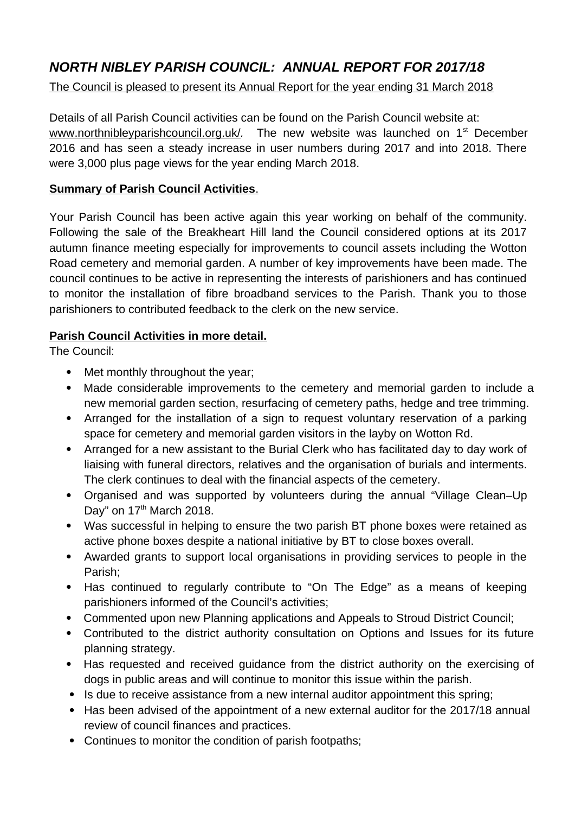# *NORTH NIBLEY PARISH COUNCIL: ANNUAL REPORT FOR 2017/18*

## The Council is pleased to present its Annual Report for the year ending 31 March 2018

Details of all Parish Council activities can be found on the Parish Council website at: [www.northnibleyparishcouncil.org.uk/](http://www.northnibleyparishcouncil.org.uk/). The new website was launched on 1<sup>st</sup> December 2016 and has seen a steady increase in user numbers during 2017 and into 2018. There were 3,000 plus page views for the year ending March 2018.

## **Summary of Parish Council Activities**.

Your Parish Council has been active again this year working on behalf of the community. Following the sale of the Breakheart Hill land the Council considered options at its 2017 autumn finance meeting especially for improvements to council assets including the Wotton Road cemetery and memorial garden. A number of key improvements have been made. The council continues to be active in representing the interests of parishioners and has continued to monitor the installation of fibre broadband services to the Parish. Thank you to those parishioners to contributed feedback to the clerk on the new service.

## **Parish Council Activities in more detail.**

The Council:

- Met monthly throughout the year;
- Made considerable improvements to the cemetery and memorial garden to include a new memorial garden section, resurfacing of cemetery paths, hedge and tree trimming.
- Arranged for the installation of a sign to request voluntary reservation of a parking space for cemetery and memorial garden visitors in the layby on Wotton Rd.
- Arranged for a new assistant to the Burial Clerk who has facilitated day to day work of liaising with funeral directors, relatives and the organisation of burials and interments. The clerk continues to deal with the financial aspects of the cemetery.
- Organised and was supported by volunteers during the annual "Village Clean–Up Day" on  $17<sup>th</sup>$  March 2018.
- Was successful in helping to ensure the two parish BT phone boxes were retained as active phone boxes despite a national initiative by BT to close boxes overall.
- Awarded grants to support local organisations in providing services to people in the Parish;
- Has continued to regularly contribute to "On The Edge" as a means of keeping parishioners informed of the Council's activities;
- Commented upon new Planning applications and Appeals to Stroud District Council;
- Contributed to the district authority consultation on Options and Issues for its future planning strategy.
- Has requested and received guidance from the district authority on the exercising of dogs in public areas and will continue to monitor this issue within the parish.
- Is due to receive assistance from a new internal auditor appointment this spring;
- Has been advised of the appointment of a new external auditor for the 2017/18 annual review of council finances and practices.
- Continues to monitor the condition of parish footpaths;